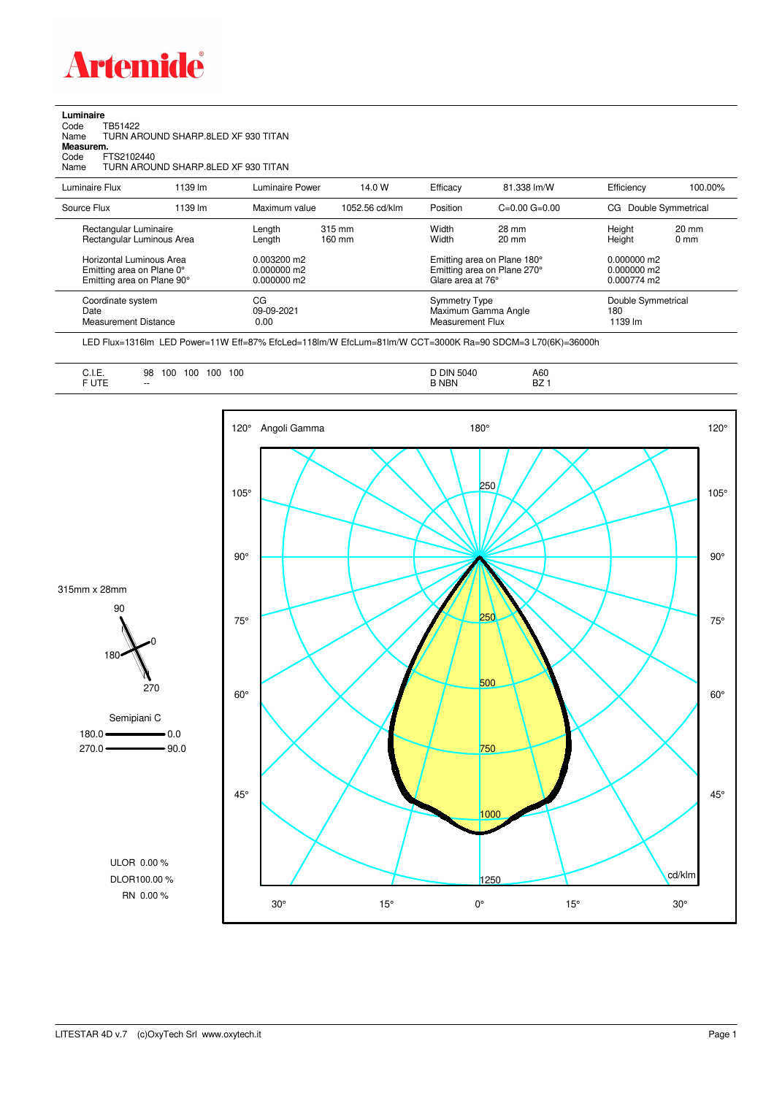

| Luminaire |                                     |
|-----------|-------------------------------------|
|           | Code TB51422                        |
| Name      | TURN AROUND SHARP 8LED XF 930 TITAN |
| Measurem. |                                     |
|           | $C_0$ de $FTS2102440$               |

Code FTS2102440 Name TURN AROUND SHARP.8LED XF 930 TITAN

| Luminaire Flux                                                                      | 1139 lm | Luminaire Power                                 | 14.0 W           | Efficacy                          | 81.338 lm/W                                                | Efficiency                                      | 100.00%                           |
|-------------------------------------------------------------------------------------|---------|-------------------------------------------------|------------------|-----------------------------------|------------------------------------------------------------|-------------------------------------------------|-----------------------------------|
| Source Flux                                                                         | 1139 lm | Maximum value                                   | 1052.56 cd/klm   | Position                          | $C=0.00$ $G=0.00$                                          | CG Double Symmetrical                           |                                   |
| Rectangular Luminaire<br>Rectangular Luminous Area                                  |         | Length<br>Length                                | 315 mm<br>160 mm | Width<br>Width                    | 28 mm<br>$20 \text{ mm}$                                   | Height<br>Height                                | $20 \text{ mm}$<br>$0 \text{ mm}$ |
| Horizontal Luminous Area<br>Emitting area on Plane 0°<br>Emitting area on Plane 90° |         | $0.003200$ m2<br>$0.000000$ m2<br>$0.000000$ m2 |                  | Glare area at 76°                 | Emitting area on Plane 180°<br>Emitting area on Plane 270° | $0.000000$ m2<br>$0.000000$ m2<br>$0.000774$ m2 |                                   |
| Coordinate system<br>Date<br>Measurement Distance                                   |         | CG<br>09-09-2021<br>0.00                        |                  | Symmetry Type<br>Measurement Flux | Maximum Gamma Angle                                        | Double Symmetrical<br>180<br>1139 lm            |                                   |

LED Flux=1316lm LED Power=11W Eff=87% EfcLed=118lm/W EfcLum=81lm/W CCT=3000K Ra=90 SDCM=3 L70(6K)=36000h